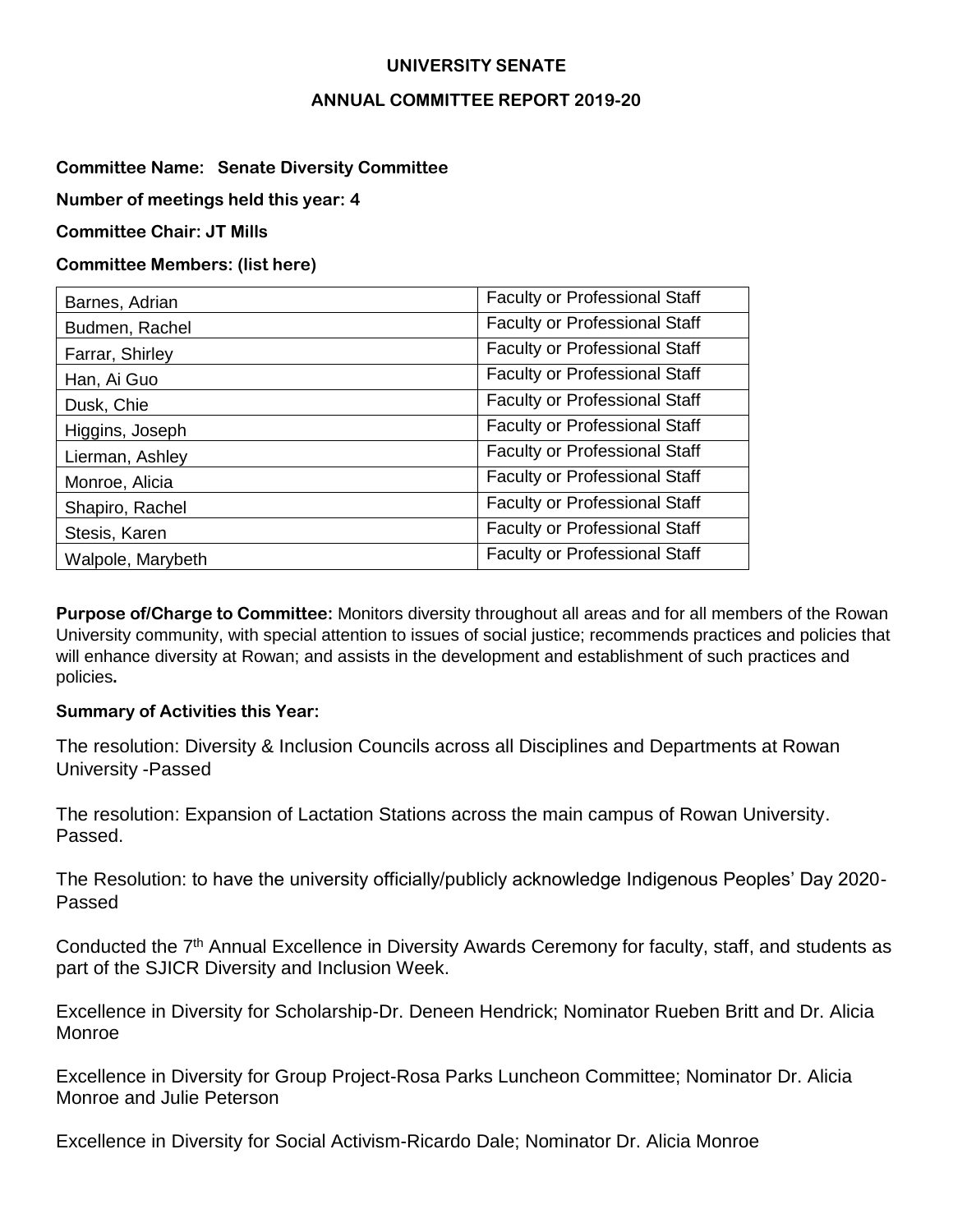#### **UNIVERSITY SENATE**

#### **ANNUAL COMMITTEE REPORT 2019-20**

### **Committee Name: Senate Diversity Committee**

**Number of meetings held this year: 4**

**Committee Chair: JT Mills**

### **Committee Members: (list here)**

| Barnes, Adrian    | <b>Faculty or Professional Staff</b> |
|-------------------|--------------------------------------|
| Budmen, Rachel    | <b>Faculty or Professional Staff</b> |
| Farrar, Shirley   | <b>Faculty or Professional Staff</b> |
| Han, Ai Guo       | <b>Faculty or Professional Staff</b> |
| Dusk, Chie        | <b>Faculty or Professional Staff</b> |
| Higgins, Joseph   | <b>Faculty or Professional Staff</b> |
| Lierman, Ashley   | <b>Faculty or Professional Staff</b> |
| Monroe, Alicia    | <b>Faculty or Professional Staff</b> |
| Shapiro, Rachel   | <b>Faculty or Professional Staff</b> |
| Stesis, Karen     | <b>Faculty or Professional Staff</b> |
| Walpole, Marybeth | <b>Faculty or Professional Staff</b> |

**Purpose of/Charge to Committee:** Monitors diversity throughout all areas and for all members of the Rowan University community, with special attention to issues of social justice; recommends practices and policies that will enhance diversity at Rowan; and assists in the development and establishment of such practices and policies**.**

#### **Summary of Activities this Year:**

The resolution: Diversity & Inclusion Councils across all Disciplines and Departments at Rowan University -Passed

The resolution: Expansion of Lactation Stations across the main campus of Rowan University. Passed.

The Resolution: to have the university officially/publicly acknowledge Indigenous Peoples' Day 2020- Passed

Conducted the 7<sup>th</sup> Annual Excellence in Diversity Awards Ceremony for faculty, staff, and students as part of the SJICR Diversity and Inclusion Week.

Excellence in Diversity for Scholarship-Dr. Deneen Hendrick; Nominator Rueben Britt and Dr. Alicia Monroe

Excellence in Diversity for Group Project-Rosa Parks Luncheon Committee; Nominator Dr. Alicia Monroe and Julie Peterson

Excellence in Diversity for Social Activism-Ricardo Dale; Nominator Dr. Alicia Monroe